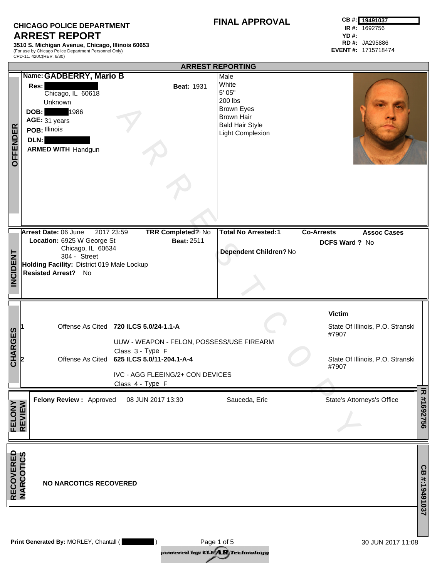## **CHICAGO POLICE DEPARTMENT ARREST REPORT**

**3510 S. Michigan Avenue, Chicago, Illinois 60653** (For use by Chicago Police Department Personnel Only) CPD-11. 420C(REV. 6/30)

|                                |                                                                                                                                                                                                                             | <b>ARREST REPORTING</b>                                                                                                    |                                                                                                         |
|--------------------------------|-----------------------------------------------------------------------------------------------------------------------------------------------------------------------------------------------------------------------------|----------------------------------------------------------------------------------------------------------------------------|---------------------------------------------------------------------------------------------------------|
| <b>OFFENDER</b>                | Name: GADBERRY, Mario B<br>Res:<br><b>Beat: 1931</b><br>Chicago, IL 60618<br>Unknown<br><b>DOB:</b> 1986<br>AGE: 31 years<br>POB: Illinois<br>DLN:<br><b>ARMED WITH Handgun</b>                                             | Male<br>White<br>5' 05"<br>200 lbs<br><b>Brown Eyes</b><br><b>Brown Hair</b><br><b>Bald Hair Style</b><br>Light Complexion |                                                                                                         |
| <b>INCIDENT</b>                | Arrest Date: 06 June<br>2017 23:59<br><b>TRR Completed? No</b><br>Location: 6925 W George St<br><b>Beat: 2511</b><br>Chicago, IL 60634<br>304 - Street<br>Holding Facility: District 019 Male Lockup<br>Resisted Arrest? No | <b>Total No Arrested:1</b><br>Dependent Children? No                                                                       | <b>Co-Arrests</b><br><b>Assoc Cases</b><br>DCFS Ward ? No                                               |
| <b>CHARGES</b>                 | Offense As Cited 720 ILCS 5.0/24-1.1-A<br>UUW - WEAPON - FELON, POSSESS/USE FIREARM<br>Class 3 - Type F<br>Offense As Cited 625 ILCS 5.0/11-204.1-A-4<br>IVC - AGG FLEEING/2+ CON DEVICES<br>Class 4 - Type F               |                                                                                                                            | <b>Victim</b><br>State Of Illinois, P.O. Stranski<br>#7907<br>State Of Illinois, P.O. Stranski<br>#7907 |
| <b>FELONY</b><br>REVIEW        | Felony Review: Approved<br>08 JUN 2017 13:30                                                                                                                                                                                | Sauceda, Eric                                                                                                              | ᅎ<br>#1692756<br>State's Attorneys's Office                                                             |
| <b>RECOVERED<br/>NARCOTICS</b> | <b>NO NARCOTICS RECOVERED</b>                                                                                                                                                                                               |                                                                                                                            | CB #:19491037                                                                                           |
|                                | Print Generated By: MORLEY, Chantall (                                                                                                                                                                                      | Page 1 of 5                                                                                                                | 30 JUN 2017 11:08                                                                                       |

*pail Brad by: CIL reclaims:dingy*  Page 1 of 5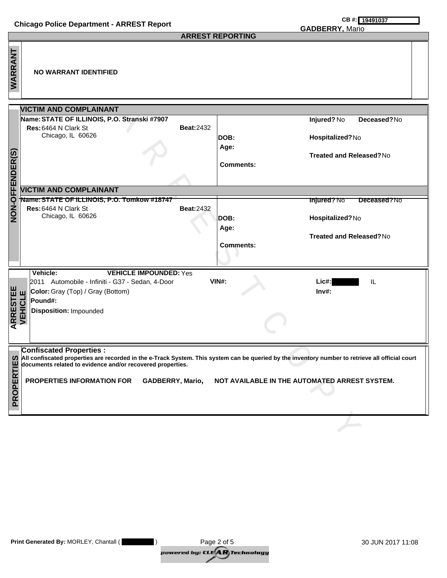|                                                                                                                                                                                                                                                                                                                                                                               | <b>Chicago Police Department - ARREST Report</b>                                                                                                                               | CB #: 19491037<br><b>GADBERRY, Mario</b>                                                                                  |  |  |  |
|-------------------------------------------------------------------------------------------------------------------------------------------------------------------------------------------------------------------------------------------------------------------------------------------------------------------------------------------------------------------------------|--------------------------------------------------------------------------------------------------------------------------------------------------------------------------------|---------------------------------------------------------------------------------------------------------------------------|--|--|--|
|                                                                                                                                                                                                                                                                                                                                                                               |                                                                                                                                                                                | <b>ARREST REPORTING</b>                                                                                                   |  |  |  |
| WARRANT                                                                                                                                                                                                                                                                                                                                                                       | <b>NO WARRANT IDENTIFIED</b>                                                                                                                                                   |                                                                                                                           |  |  |  |
|                                                                                                                                                                                                                                                                                                                                                                               | <b>VICTIM AND COMPLAINANT</b>                                                                                                                                                  |                                                                                                                           |  |  |  |
| <b>NON-OFFENDER(S)</b>                                                                                                                                                                                                                                                                                                                                                        | Name: STATE OF ILLINOIS, P.O. Stranski #7907<br>Res: 6464 N Clark St<br><b>Beat:2432</b><br>Chicago, IL 60626                                                                  | Injured? No<br>Deceased?No<br>Hospitalized?No<br>DOB:<br>Age:<br><b>Treated and Released?No</b><br><b>Comments:</b>       |  |  |  |
|                                                                                                                                                                                                                                                                                                                                                                               | <b>VICTIM AND COMPLAINANT</b>                                                                                                                                                  |                                                                                                                           |  |  |  |
|                                                                                                                                                                                                                                                                                                                                                                               | Name: STATE OF ILLINOIS, P.O. Tomkow #18747<br>Res: 6464 N Clark St<br><b>Beat:2432</b><br>Chicago, IL 60626                                                                   | <b>Injured?No</b><br>Deceased?No<br>Hospitalized?No<br>DOB:<br>Age:<br><b>Treated and Released?No</b><br><b>Comments:</b> |  |  |  |
| <b>ARRESTEE</b><br>VEHICLE                                                                                                                                                                                                                                                                                                                                                    | Vehicle:<br><b>VEHICLE IMPOUNDED: Yes</b><br>2011 Automobile - Infiniti - G37 - Sedan, 4-Door<br>Color: Gray (Top) / Gray (Bottom)<br>Pound#:<br><b>Disposition: Impounded</b> | <b>VIN#:</b><br>Lic#:<br>IL<br>$Inv#$ :                                                                                   |  |  |  |
| <b>Confiscated Properties:</b><br>(0) All confiscated properties are recorded in the e-Track System. This system can be queried by the inventory number to retrieve all official court<br>Ë<br>documents related to evidence and/or recovered properties.<br><b>PROPER</b><br>PROPERTIES INFORMATION FOR<br>GADBERRY, Mario,<br>NOT AVAILABLE IN THE AUTOMATED ARREST SYSTEM. |                                                                                                                                                                                |                                                                                                                           |  |  |  |
|                                                                                                                                                                                                                                                                                                                                                                               |                                                                                                                                                                                |                                                                                                                           |  |  |  |

| <b>Print Generated By: MORLEY, Chantall (</b> | Page 2 of 5                                                       | 30 JUN 2017 11:08 |
|-----------------------------------------------|-------------------------------------------------------------------|-------------------|
|                                               | powered by: CLE $\bigl(\mathbf{A}\boldsymbol{R}\bigr)$ Technology |                   |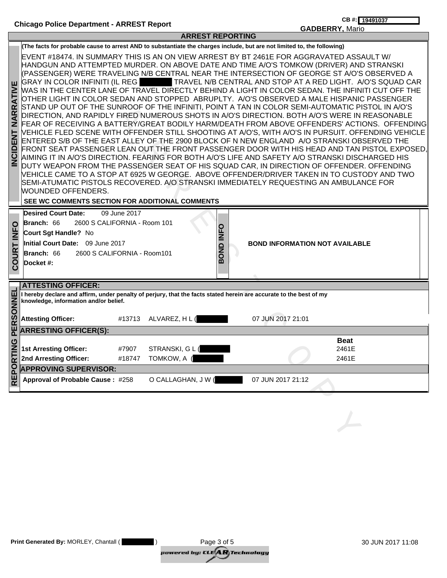|                                             |                                                                                                                                                                                                                                                                                                                                                                                                                                                                                                                                                                                                                                                                                                                                                                                                                                                                                                                                                                                                                                                                                                                                                                                                                                                                                                                                                                                                                                                                                                                                                                                                                                                                  |                                              | <b>ARREST REPORTING</b> |                                       | <u>טאוסויז, ויטאס</u> |                      |
|---------------------------------------------|------------------------------------------------------------------------------------------------------------------------------------------------------------------------------------------------------------------------------------------------------------------------------------------------------------------------------------------------------------------------------------------------------------------------------------------------------------------------------------------------------------------------------------------------------------------------------------------------------------------------------------------------------------------------------------------------------------------------------------------------------------------------------------------------------------------------------------------------------------------------------------------------------------------------------------------------------------------------------------------------------------------------------------------------------------------------------------------------------------------------------------------------------------------------------------------------------------------------------------------------------------------------------------------------------------------------------------------------------------------------------------------------------------------------------------------------------------------------------------------------------------------------------------------------------------------------------------------------------------------------------------------------------------------|----------------------------------------------|-------------------------|---------------------------------------|-----------------------|----------------------|
|                                             | (The facts for probable cause to arrest AND to substantiate the charges include, but are not limited to, the following)                                                                                                                                                                                                                                                                                                                                                                                                                                                                                                                                                                                                                                                                                                                                                                                                                                                                                                                                                                                                                                                                                                                                                                                                                                                                                                                                                                                                                                                                                                                                          |                                              |                         |                                       |                       |                      |
| <b>RATIVE</b><br>NARI<br>ENT<br><b>DISP</b> | EVENT #18474. IN SUMMARY THIS IS AN ON VIEW ARREST BY BT 2461E FOR AGGRAVATED ASSAULT W/<br>HANDGUN AND ATTEMPTED MURDER. ON ABOVE DATE AND TIME A/O'S TOMKOW (DRIVER) AND STRANSKI<br>(PASSENGER) WERE TRAVELING N/B CENTRAL NEAR THE INTERSECTION OF GEORGE ST A/O'S OBSERVED A<br>GRAY IN COLOR INFINITI (IL REGETTER AVEL N/B CENTRAL AND STOP AT A RED LIGHT. A/O'S SQUAD CAR<br>WAS IN THE CENTER LANE OF TRAVEL DIRECTLY BEHIND A LIGHT IN COLOR SEDAN. THE INFINITI CUT OFF THE<br>OTHER LIGHT IN COLOR SEDAN AND STOPPED  ABRUPLTY.  A/O'S OBSERVED A MALE HISPANIC PASSENGER<br>STAND UP OUT OF THE SUNROOF OF THE INFINITI, POINT A TAN IN COLOR SEMI-AUTOMATIC PISTOL IN A/O'S<br>DIRECTION, AND RAPIDLY FIRED NUMEROUS SHOTS IN A/O'S DIRECTION. BOTH A/O'S WERE IN REASONABLE<br>FEAR OF RECEIVING A BATTERY/GREAT BODILY HARM/DEATH FROM ABOVE OFFENDERS' ACTIONS. OFFENDING<br>VEHICLE FLED SCENE WITH OFFENDER STILL SHOOTING AT A/O'S, WITH A/O'S IN PURSUIT. OFFENDING VEHICLE<br>ENTERED S/B OF THE EAST ALLEY OF THE 2900 BLOCK OF N NEW ENGLAND A/O STRANSKI OBSERVED THE<br>FRONT SEAT PASSENGER LEAN OUT THE FRONT PASSENGER DOOR WITH HIS HEAD AND TAN PISTOL EXPOSED.<br>AIMING IT IN A/O'S DIRECTION. FEARING FOR BOTH A/O'S LIFE AND SAFETY A/O STRANSKI DISCHARGED HIS<br>DUTY WEAPON FROM THE PASSENGER SEAT OF HIS SQUAD CAR, IN DIRECTION OF OFFENDER. OFFENDING<br>VEHICLE CAME TO A STOP AT 6925 W GEORGE. ABOVE OFFENDER/DRIVER TAKEN IN TO CUSTODY AND TWO<br>SEMI-ATUMATIC PISTOLS RECOVERED. A/O STRANSKI IMMEDIATELY REQUESTING AN AMBULANCE FOR<br>WOUNDED OFFENDERS.<br>SEE WC COMMENTS SECTION FOR ADDITIONAL COMMENTS |                                              |                         |                                       |                       |                      |
| O                                           | <b>Desired Court Date:</b><br>Branch: 66<br>Court Sgt Handle? No                                                                                                                                                                                                                                                                                                                                                                                                                                                                                                                                                                                                                                                                                                                                                                                                                                                                                                                                                                                                                                                                                                                                                                                                                                                                                                                                                                                                                                                                                                                                                                                                 | 09 June 2017<br>2600 S CALIFORNIA - Room 101 |                         |                                       |                       |                      |
| Ě                                           | Initial Court Date: 09 June 2017                                                                                                                                                                                                                                                                                                                                                                                                                                                                                                                                                                                                                                                                                                                                                                                                                                                                                                                                                                                                                                                                                                                                                                                                                                                                                                                                                                                                                                                                                                                                                                                                                                 |                                              | BOND INFO               | <b>BOND INFORMATION NOT AVAILABLE</b> |                       |                      |
| <b>COURT</b>                                | Branch: 66                                                                                                                                                                                                                                                                                                                                                                                                                                                                                                                                                                                                                                                                                                                                                                                                                                                                                                                                                                                                                                                                                                                                                                                                                                                                                                                                                                                                                                                                                                                                                                                                                                                       | 2600 S CALIFORNIA - Room101                  |                         |                                       |                       |                      |
|                                             | Docket #:                                                                                                                                                                                                                                                                                                                                                                                                                                                                                                                                                                                                                                                                                                                                                                                                                                                                                                                                                                                                                                                                                                                                                                                                                                                                                                                                                                                                                                                                                                                                                                                                                                                        |                                              |                         |                                       |                       |                      |
|                                             |                                                                                                                                                                                                                                                                                                                                                                                                                                                                                                                                                                                                                                                                                                                                                                                                                                                                                                                                                                                                                                                                                                                                                                                                                                                                                                                                                                                                                                                                                                                                                                                                                                                                  |                                              |                         |                                       |                       |                      |
|                                             | <b>ATTESTING OFFICER:</b>                                                                                                                                                                                                                                                                                                                                                                                                                                                                                                                                                                                                                                                                                                                                                                                                                                                                                                                                                                                                                                                                                                                                                                                                                                                                                                                                                                                                                                                                                                                                                                                                                                        |                                              |                         |                                       |                       |                      |
| PERSONNEL                                   | I hereby declare and affirm, under penalty of perjury, that the facts stated herein are accurate to the best of my<br>knowledge, information and/or belief.                                                                                                                                                                                                                                                                                                                                                                                                                                                                                                                                                                                                                                                                                                                                                                                                                                                                                                                                                                                                                                                                                                                                                                                                                                                                                                                                                                                                                                                                                                      |                                              |                         |                                       |                       |                      |
|                                             | <b>Attesting Officer:</b>                                                                                                                                                                                                                                                                                                                                                                                                                                                                                                                                                                                                                                                                                                                                                                                                                                                                                                                                                                                                                                                                                                                                                                                                                                                                                                                                                                                                                                                                                                                                                                                                                                        | #13713 ALVAREZ, H L (                        |                         | 07 JUN 2017 21:01                     |                       |                      |
|                                             | <b>ARRESTING OFFICER(S):</b>                                                                                                                                                                                                                                                                                                                                                                                                                                                                                                                                                                                                                                                                                                                                                                                                                                                                                                                                                                                                                                                                                                                                                                                                                                                                                                                                                                                                                                                                                                                                                                                                                                     |                                              |                         |                                       |                       |                      |
| TING                                        | <b>1st Arresting Officer:</b>                                                                                                                                                                                                                                                                                                                                                                                                                                                                                                                                                                                                                                                                                                                                                                                                                                                                                                                                                                                                                                                                                                                                                                                                                                                                                                                                                                                                                                                                                                                                                                                                                                    | #7907                                        | STRANSKI, G L (         |                                       |                       | <b>Beat</b><br>2461E |
|                                             | 2nd Arresting Officer:                                                                                                                                                                                                                                                                                                                                                                                                                                                                                                                                                                                                                                                                                                                                                                                                                                                                                                                                                                                                                                                                                                                                                                                                                                                                                                                                                                                                                                                                                                                                                                                                                                           | #18747 TOMKOW, A (                           |                         |                                       |                       | 2461E                |
|                                             | <b>APPROVING SUPERVISOR:</b>                                                                                                                                                                                                                                                                                                                                                                                                                                                                                                                                                                                                                                                                                                                                                                                                                                                                                                                                                                                                                                                                                                                                                                                                                                                                                                                                                                                                                                                                                                                                                                                                                                     |                                              |                         |                                       |                       |                      |
| <b>REPOR</b>                                | Approval of Probable Cause: #258                                                                                                                                                                                                                                                                                                                                                                                                                                                                                                                                                                                                                                                                                                                                                                                                                                                                                                                                                                                                                                                                                                                                                                                                                                                                                                                                                                                                                                                                                                                                                                                                                                 |                                              | O CALLAGHAN, J W (      | 07 JUN 2017 21:12                     |                       |                      |
|                                             |                                                                                                                                                                                                                                                                                                                                                                                                                                                                                                                                                                                                                                                                                                                                                                                                                                                                                                                                                                                                                                                                                                                                                                                                                                                                                                                                                                                                                                                                                                                                                                                                                                                                  |                                              |                         |                                       |                       |                      |
|                                             |                                                                                                                                                                                                                                                                                                                                                                                                                                                                                                                                                                                                                                                                                                                                                                                                                                                                                                                                                                                                                                                                                                                                                                                                                                                                                                                                                                                                                                                                                                                                                                                                                                                                  |                                              |                         |                                       |                       |                      |
|                                             |                                                                                                                                                                                                                                                                                                                                                                                                                                                                                                                                                                                                                                                                                                                                                                                                                                                                                                                                                                                                                                                                                                                                                                                                                                                                                                                                                                                                                                                                                                                                                                                                                                                                  |                                              |                         |                                       |                       |                      |
|                                             |                                                                                                                                                                                                                                                                                                                                                                                                                                                                                                                                                                                                                                                                                                                                                                                                                                                                                                                                                                                                                                                                                                                                                                                                                                                                                                                                                                                                                                                                                                                                                                                                                                                                  |                                              |                         |                                       |                       |                      |

| Print Generated By: MORLEY, Chantall ( | Page 3 of 5                          | 30 JUN 2017 11:08 |
|----------------------------------------|--------------------------------------|-------------------|
|                                        | powered by: CLE <b>AR</b> Technology |                   |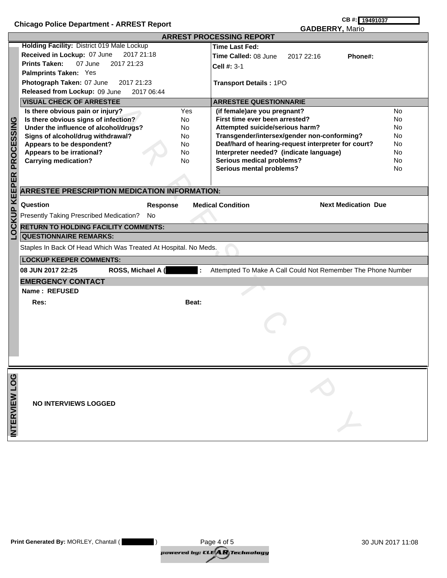|                          | <b>Chicago Police Department - ARREST Report</b>                                                                                                                                                                                                                                                     | CB #: 19491037                                                                                                                                                                                                                                                                                                                                                            |  |  |  |
|--------------------------|------------------------------------------------------------------------------------------------------------------------------------------------------------------------------------------------------------------------------------------------------------------------------------------------------|---------------------------------------------------------------------------------------------------------------------------------------------------------------------------------------------------------------------------------------------------------------------------------------------------------------------------------------------------------------------------|--|--|--|
|                          |                                                                                                                                                                                                                                                                                                      | <b>GADBERRY, Mario</b>                                                                                                                                                                                                                                                                                                                                                    |  |  |  |
| <b>KEEPER PROCESSING</b> | Holding Facility: District 019 Male Lockup<br>Received in Lockup: 07 June<br>2017 21:18<br><b>Prints Taken:</b><br>07 June<br>2017 21:23<br>Palmprints Taken: Yes<br>Photograph Taken: 07 June<br>2017 21:23<br>Released from Lockup: 09 June<br>2017 06:44<br><b>VISUAL CHECK OF ARRESTEE</b>       | <b>ARREST PROCESSING REPORT</b><br>Time Last Fed:<br>Time Called: 08 June<br>2017 22:16<br>Phone#:<br>Cell #: $3-1$<br>Transport Details: 1PO<br><b>ARRESTEE QUESTIONNARIE</b>                                                                                                                                                                                            |  |  |  |
|                          | Yes<br>Is there obvious pain or injury?<br>Is there obvious signs of infection?<br>No.<br>Under the influence of alcohol/drugs?<br>No<br>Signs of alcohol/drug withdrawal?<br>No.<br>Appears to be despondent?<br>No.<br>Appears to be irrational?<br><b>No</b><br><b>Carrying medication?</b><br>No | (if female)are you pregnant?<br>No<br>First time ever been arrested?<br><b>No</b><br>Attempted suicide/serious harm?<br>No<br>Transgender/intersex/gender non-conforming?<br>No<br>Deaf/hard of hearing-request interpreter for court?<br>No<br>Interpreter needed? (indicate language)<br>No<br><b>Serious medical problems?</b><br>No<br>Serious mental problems?<br>No |  |  |  |
| LOCKUP                   | <b>ARRESTEE PRESCRIPTION MEDICATION INFORMATION:</b><br>Question<br><b>Next Medication Due</b><br><b>Medical Condition</b><br><b>Response</b><br>Presently Taking Prescribed Medication?<br>No<br><b>RETURN TO HOLDING FACILITY COMMENTS:</b><br><b>QUESTIONNAIRE REMARKS:</b>                       |                                                                                                                                                                                                                                                                                                                                                                           |  |  |  |
|                          | Staples In Back Of Head Which Was Treated At Hospital. No Meds.<br><b>LOCKUP KEEPER COMMENTS:</b>                                                                                                                                                                                                    |                                                                                                                                                                                                                                                                                                                                                                           |  |  |  |
|                          | ROSS, Michael A (<br>08 JUN 2017 22:25                                                                                                                                                                                                                                                               | Attempted To Make A Call Could Not Remember The Phone Number                                                                                                                                                                                                                                                                                                              |  |  |  |
|                          | <b>EMERGENCY CONTACT</b>                                                                                                                                                                                                                                                                             |                                                                                                                                                                                                                                                                                                                                                                           |  |  |  |
|                          | Name: REFUSED<br>Res:<br>Beat:                                                                                                                                                                                                                                                                       |                                                                                                                                                                                                                                                                                                                                                                           |  |  |  |
|                          |                                                                                                                                                                                                                                                                                                      |                                                                                                                                                                                                                                                                                                                                                                           |  |  |  |
| INTERVIEW LOG            | <b>NO INTERVIEWS LOGGED</b>                                                                                                                                                                                                                                                                          |                                                                                                                                                                                                                                                                                                                                                                           |  |  |  |